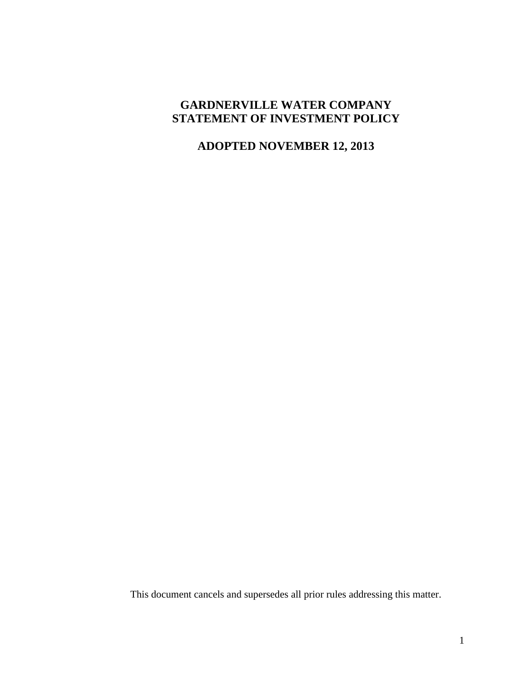# **GARDNERVILLE WATER COMPANY STATEMENT OF INVESTMENT POLICY**

# **ADOPTED NOVEMBER 12, 2013**

This document cancels and supersedes all prior rules addressing this matter.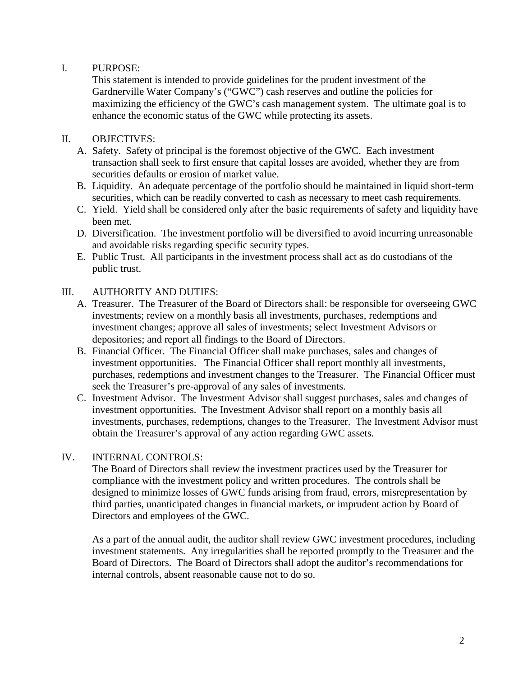## I. PURPOSE:

This statement is intended to provide guidelines for the prudent investment of the Gardnerville Water Company's ("GWC") cash reserves and outline the policies for maximizing the efficiency of the GWC's cash management system. The ultimate goal is to enhance the economic status of the GWC while protecting its assets.

## II. OBJECTIVES:

- A. Safety. Safety of principal is the foremost objective of the GWC. Each investment transaction shall seek to first ensure that capital losses are avoided, whether they are from securities defaults or erosion of market value.
- B. Liquidity. An adequate percentage of the portfolio should be maintained in liquid short-term securities, which can be readily converted to cash as necessary to meet cash requirements.
- C. Yield. Yield shall be considered only after the basic requirements of safety and liquidity have been met.
- D. Diversification. The investment portfolio will be diversified to avoid incurring unreasonable and avoidable risks regarding specific security types.
- E. Public Trust. All participants in the investment process shall act as do custodians of the public trust.

## III. AUTHORITY AND DUTIES:

- A. Treasurer. The Treasurer of the Board of Directors shall: be responsible for overseeing GWC investments; review on a monthly basis all investments, purchases, redemptions and investment changes; approve all sales of investments; select Investment Advisors or depositories; and report all findings to the Board of Directors.
- B. Financial Officer. The Financial Officer shall make purchases, sales and changes of investment opportunities. The Financial Officer shall report monthly all investments, purchases, redemptions and investment changes to the Treasurer. The Financial Officer must seek the Treasurer's pre-approval of any sales of investments.
- C. Investment Advisor. The Investment Advisor shall suggest purchases, sales and changes of investment opportunities. The Investment Advisor shall report on a monthly basis all investments, purchases, redemptions, changes to the Treasurer. The Investment Advisor must obtain the Treasurer's approval of any action regarding GWC assets.

## IV. INTERNAL CONTROLS:

The Board of Directors shall review the investment practices used by the Treasurer for compliance with the investment policy and written procedures. The controls shall be designed to minimize losses of GWC funds arising from fraud, errors, misrepresentation by third parties, unanticipated changes in financial markets, or imprudent action by Board of Directors and employees of the GWC.

As a part of the annual audit, the auditor shall review GWC investment procedures, including investment statements. Any irregularities shall be reported promptly to the Treasurer and the Board of Directors. The Board of Directors shall adopt the auditor's recommendations for internal controls, absent reasonable cause not to do so.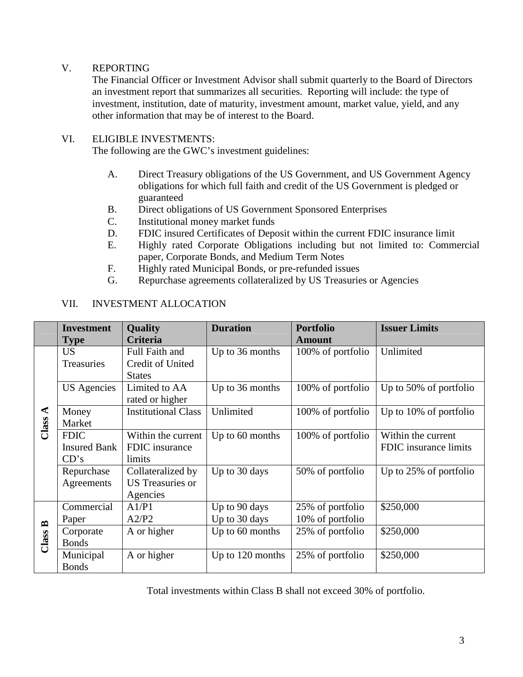### V. REPORTING

The Financial Officer or Investment Advisor shall submit quarterly to the Board of Directors an investment report that summarizes all securities. Reporting will include: the type of investment, institution, date of maturity, investment amount, market value, yield, and any other information that may be of interest to the Board.

### VI. ELIGIBLE INVESTMENTS:

The following are the GWC's investment guidelines:

- A. Direct Treasury obligations of the US Government, and US Government Agency obligations for which full faith and credit of the US Government is pledged or guaranteed
- B. Direct obligations of US Government Sponsored Enterprises
- C. Institutional money market funds
- D. FDIC insured Certificates of Deposit within the current FDIC insurance limit
- E. Highly rated Corporate Obligations including but not limited to: Commercial paper, Corporate Bonds, and Medium Term Notes
- F. Highly rated Municipal Bonds, or pre-refunded issues
- G. Repurchase agreements collateralized by US Treasuries or Agencies

#### VII. INVESTMENT ALLOCATION

|                                    | <b>Investment</b>   | <b>Quality</b>             | <b>Duration</b>  | <b>Portfolio</b>  | <b>Issuer Limits</b>      |
|------------------------------------|---------------------|----------------------------|------------------|-------------------|---------------------------|
|                                    | <b>Type</b>         | Criteria                   |                  | <b>Amount</b>     |                           |
| $\blacktriangleleft$<br>Class      | <b>US</b>           | Full Faith and             | Up to 36 months  | 100% of portfolio | Unlimited                 |
|                                    | Treasuries          | Credit of United           |                  |                   |                           |
|                                    |                     | <b>States</b>              |                  |                   |                           |
|                                    | <b>US</b> Agencies  | Limited to AA              | Up to 36 months  | 100% of portfolio | Up to 50% of portfolio    |
|                                    |                     | rated or higher            |                  |                   |                           |
|                                    | Money               | <b>Institutional Class</b> | Unlimited        | 100% of portfolio | Up to $10\%$ of portfolio |
|                                    | Market              |                            |                  |                   |                           |
|                                    | <b>FDIC</b>         | Within the current         | Up to 60 months  | 100% of portfolio | Within the current        |
|                                    | <b>Insured Bank</b> | FDIC insurance             |                  |                   | FDIC insurance limits     |
|                                    | CD's                | limits                     |                  |                   |                           |
|                                    | Repurchase          | Collateralized by          | Up to 30 days    | 50% of portfolio  | Up to 25% of portfolio    |
|                                    | Agreements          | <b>US</b> Treasuries or    |                  |                   |                           |
|                                    |                     | Agencies                   |                  |                   |                           |
| $\mathbf{r}$<br>Class <sup>1</sup> | Commercial          | A1/P1                      | Up to 90 days    | 25% of portfolio  | \$250,000                 |
|                                    | Paper               | A2/P2                      | Up to 30 days    | 10% of portfolio  |                           |
|                                    | Corporate           | A or higher                | Up to 60 months  | 25% of portfolio  | \$250,000                 |
|                                    | <b>Bonds</b>        |                            |                  |                   |                           |
|                                    | Municipal           | A or higher                | Up to 120 months | 25% of portfolio  | \$250,000                 |
|                                    | <b>Bonds</b>        |                            |                  |                   |                           |

Total investments within Class B shall not exceed 30% of portfolio.